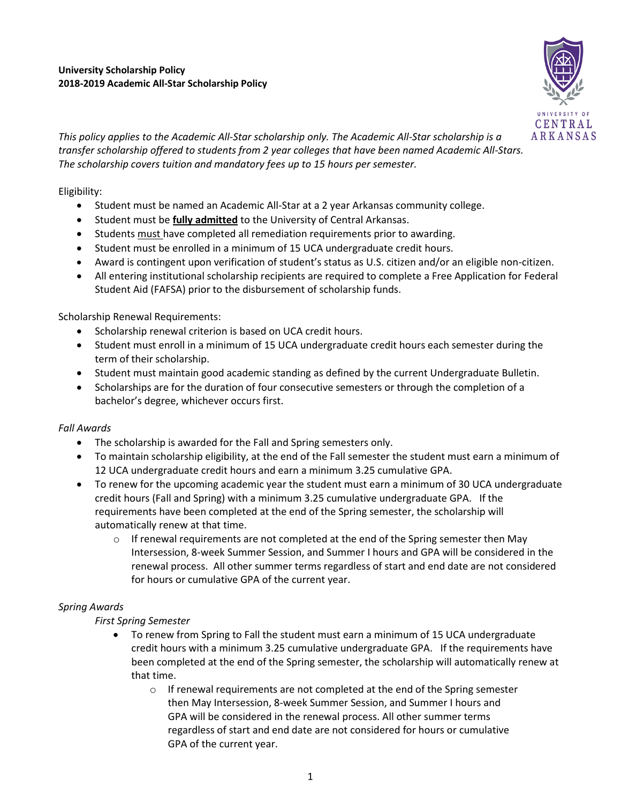

*This policy applies to the Academic All-Star scholarship only. The Academic All-Star scholarship is a transfer scholarship offered to students from 2 year colleges that have been named Academic All-Stars. The scholarship covers tuition and mandatory fees up to 15 hours per semester.* 

Eligibility:

- Student must be named an Academic All-Star at a 2 year Arkansas community college.
- Student must be **fully admitted** to the University of Central Arkansas.
- Students must have completed all remediation requirements prior to awarding.
- Student must be enrolled in a minimum of 15 UCA undergraduate credit hours.
- Award is contingent upon verification of student's status as U.S. citizen and/or an eligible non-citizen.
- All entering institutional scholarship recipients are required to complete a Free Application for Federal Student Aid (FAFSA) prior to the disbursement of scholarship funds.

Scholarship Renewal Requirements:

- Scholarship renewal criterion is based on UCA credit hours.
- Student must enroll in a minimum of 15 UCA undergraduate credit hours each semester during the term of their scholarship.
- Student must maintain good academic standing as defined by the current Undergraduate Bulletin.
- Scholarships are for the duration of four consecutive semesters or through the completion of a bachelor's degree, whichever occurs first.

## *Fall Awards*

- The scholarship is awarded for the Fall and Spring semesters only.
- To maintain scholarship eligibility, at the end of the Fall semester the student must earn a minimum of 12 UCA undergraduate credit hours and earn a minimum 3.25 cumulative GPA.
- To renew for the upcoming academic year the student must earn a minimum of 30 UCA undergraduate credit hours (Fall and Spring) with a minimum 3.25 cumulative undergraduate GPA. If the requirements have been completed at the end of the Spring semester, the scholarship will automatically renew at that time.
	- $\circ$  If renewal requirements are not completed at the end of the Spring semester then May Intersession, 8-week Summer Session, and Summer I hours and GPA will be considered in the renewal process. All other summer terms regardless of start and end date are not considered for hours or cumulative GPA of the current year.

## *Spring Awards*

## *First Spring Semester*

- To renew from Spring to Fall the student must earn a minimum of 15 UCA undergraduate credit hours with a minimum 3.25 cumulative undergraduate GPA. If the requirements have been completed at the end of the Spring semester, the scholarship will automatically renew at that time.
	- $\circ$  If renewal requirements are not completed at the end of the Spring semester then May Intersession, 8-week Summer Session, and Summer I hours and GPA will be considered in the renewal process. All other summer terms regardless of start and end date are not considered for hours or cumulative GPA of the current year.